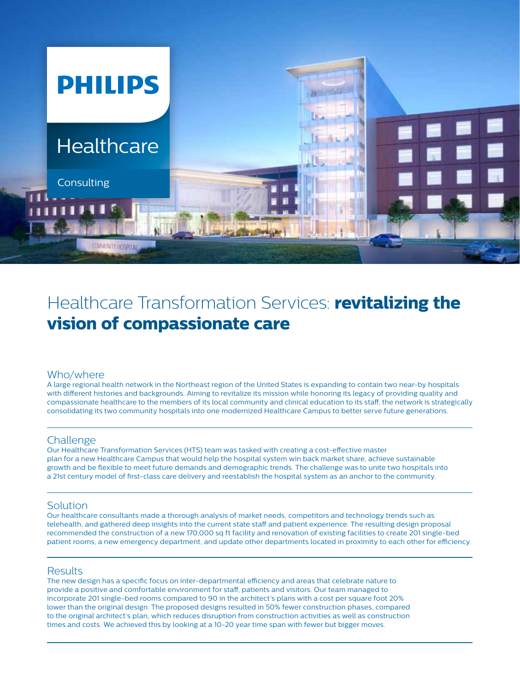

# Healthcare Transformation Services: **revitalizing the vision of compassionate care**

# Who/where

A large regional health network in the Northeast region of the United States is expanding to contain two near-by hospitals with different histories and backgrounds. Aiming to revitalize its mission while honoring its legacy of providing quality and compassionate healthcare to the members of its local community and clinical education to its staff, the network is strategically consolidating its two community hospitals into one modernized Healthcare Campus to better serve future generations.

## Challenge

Our Healthcare Transformation Services (HTS) team was tasked with creating a cost-effective master plan for a new Healthcare Campus that would help the hospital system win back market share, achieve sustainable growth and be flexible to meet future demands and demographic trends. The challenge was to unite two hospitals into a 21st century model of first-class care delivery and reestablish the hospital system as an anchor to the community.

# Solution

Our healthcare consultants made a thorough analysis of market needs, competitors and technology trends such as telehealth, and gathered deep insights into the current state staff and patient experience. The resulting design proposal recommended the construction of a new 170,000 sq ft facility and renovation of existing facilities to create 201 single-bed patient rooms, a new emergency department, and update other departments located in proximity to each other for efficiency.

## Results

The new design has a specific focus on inter-departmental efficiency and areas that celebrate nature to provide a positive and comfortable environment for staff, patients and visitors. Our team managed to incorporate 201 single-bed rooms compared to 90 in the architect's plans with a cost per square foot 20% lower than the original design. The proposed designs resulted in 50% fewer construction phases, compared to the original architect's plan, which reduces disruption from construction activities as well as construction times and costs. We achieved this by looking at a 10-20 year time span with fewer but bigger moves.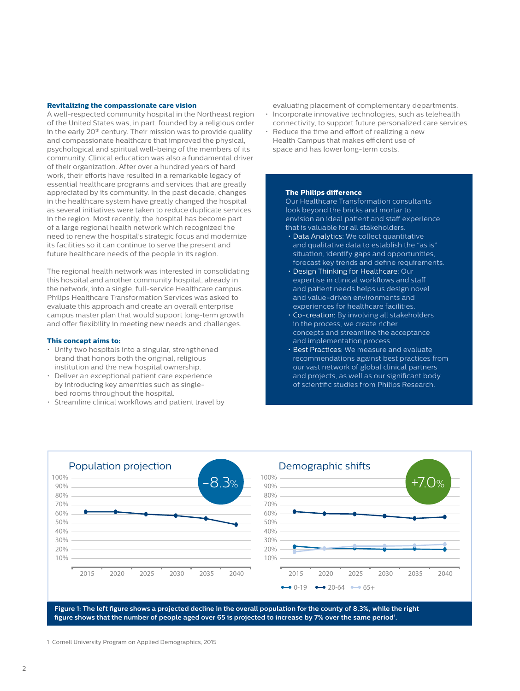#### **Revitalizing the compassionate care vision**

A well-respected community hospital in the Northeast region of the United States was, in part, founded by a religious order in the early 20<sup>th</sup> century. Their mission was to provide quality and compassionate healthcare that improved the physical, psychological and spiritual well-being of the members of its community. Clinical education was also a fundamental driver of their organization. After over a hundred years of hard work, their efforts have resulted in a remarkable legacy of essential healthcare programs and services that are greatly appreciated by its community. In the past decade, changes in the healthcare system have greatly changed the hospital as several initiatives were taken to reduce duplicate services in the region. Most recently, the hospital has become part of a large regional health network which recognized the need to renew the hospital's strategic focus and modernize its facilities so it can continue to serve the present and future healthcare needs of the people in its region.

The regional health network was interested in consolidating this hospital and another community hospital, already in the network, into a single, full-service Healthcare campus. Philips Healthcare Transformation Services was asked to evaluate this approach and create an overall enterprise campus master plan that would support long-term growth and offer flexibility in meeting new needs and challenges.

#### **This concept aims to:**

- Unify two hospitals into a singular, strengthened brand that honors both the original, religious institution and the new hospital ownership.
- Deliver an exceptional patient care experience by introducing key amenities such as singlebed rooms throughout the hospital.
- Streamline clinical workflows and patient travel by
- evaluating placement of complementary departments. • Incorporate innovative technologies, such as telehealth
- connectivity, to support future personalized care services. • Reduce the time and effort of realizing a new
- Health Campus that makes efficient use of space and has lower long-term costs.

#### **The Philips difference**

Our Healthcare Transformation consultants look beyond the bricks and mortar to envision an ideal patient and staff experience that is valuable for all stakeholders.

- Data Analytics: We collect quantitative and qualitative data to establish the "as is" situation, identify gaps and opportunities, forecast key trends and define requirements.
- and patient needs netps us design in<br>and value-driven environments and • Design Thinking for Healthcare: Our expertise in clinical workflows and staff and patient needs helps us design novel experiences for healthcare facilities.
	- Co-creation: By involving all stakeholders in the process, we create richer concepts and streamline the acceptance and implementation process.
	- Best Practices: We measure and evaluate recommendations against best practices from our vast network of global clinical partners and projects, as well as our significant body of scientific studies from Philips Research.



10%

20% 30% 40% 50% 60% 70% 80% 90% 100%

**Figure 1: The left figure shows a projected decline in the overall population for the county of 8.3%, while the right figure shows that the number of people aged over 65 is projected to increase by 7% over the same period1 .**

)<br>1 Cornell University Program on Applied Demographics, 2015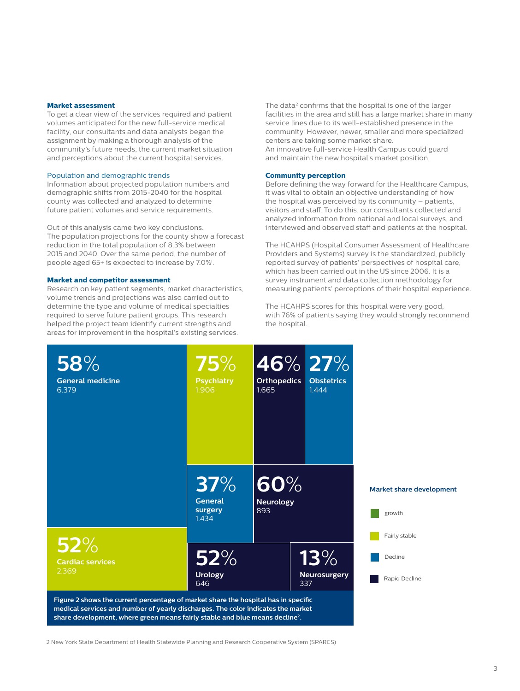#### **Market assessment**

To get a clear view of the services required and patient volumes anticipated for the new full-service medical facility, our consultants and data analysts began the assignment by making a thorough analysis of the community's future needs, the current market situation and perceptions about the current hospital services.

#### Population and demographic trends

Information about projected population numbers and demographic shifts from 2015-2040 for the hospital county was collected and analyzed to determine future patient volumes and service requirements.

Out of this analysis came two key conclusions. The population projections for the county show a forecast reduction in the total population of 8.3% between 2015 and 2040. Over the same period, the number of people aged 65+ is expected to increase by 7.0%<sup>1</sup>.

#### **Market and competitor assessment**

Research on key patient segments, market characteristics, volume trends and projections was also carried out to determine the type and volume of medical specialties required to serve future patient groups. This research helped the project team identify current strengths and areas for improvement in the hospital's existing services.

The data<sup>2</sup> confirms that the hospital is one of the larger facilities in the area and still has a large market share in many service lines due to its well-established presence in the community. However, newer, smaller and more specialized centers are taking some market share.

An innovative full-service Health Campus could guard and maintain the new hospital's market position.

#### **Community perception**

Before defining the way forward for the Healthcare Campus, it was vital to obtain an objective understanding of how the hospital was perceived by its community – patients, visitors and staff. To do this, our consultants collected and analyzed information from national and local surveys, and interviewed and observed staff and patients at the hospital.

The HCAHPS (Hospital Consumer Assessment of Healthcare Providers and Systems) survey is the standardized, publicly reported survey of patients' perspectives of hospital care, which has been carried out in the US since 2006. It is a survey instrument and data collection methodology for measuring patients' perceptions of their hospital experience. **58**%

The HCAHPS scores for this hospital were very good, **General medicine** The HCAHPS scores for this hospital were very good,<br>with 76% of patients saying they would strongly recommend<br>the bospital the hospital. **75**%



2 New York State Department of Health Statewide Planning and Research Cooperative System (SPARCS)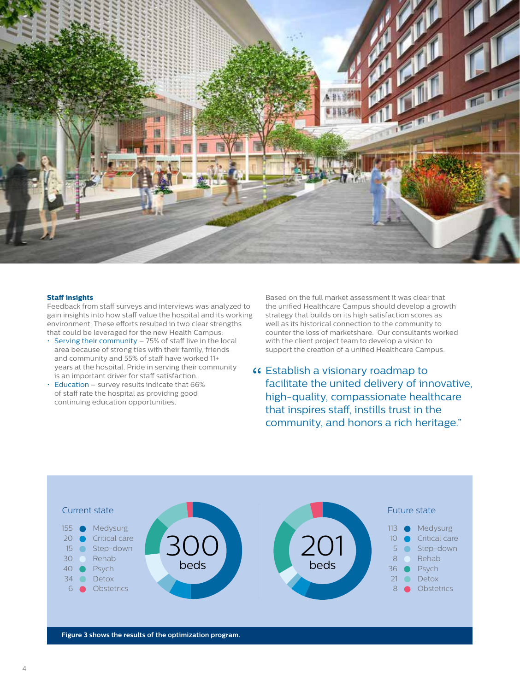

#### **Staff insights**

Feedback from staff surveys and interviews was analyzed to gain insights into how staff value the hospital and its working environment. These efforts resulted in two clear strengths that could be leveraged for the new Health Campus:

- Serving their community 75% of staff live in the local area because of strong ties with their family, friends and community and 55% of staff have worked 11+ years at the hospital. Pride in serving their community is an important driver for staff satisfaction.
- Education survey results indicate that 66% of staff rate the hospital as providing good continuing education opportunities.

Based on the full market assessment it was clear that the unified Healthcare Campus should develop a growth strategy that builds on its high satisfaction scores as well as its historical connection to the community to counter the loss of marketshare. Our consultants worked with the client project team to develop a vision to support the creation of a unified Healthcare Campus.

Establish a visionary roadmap to "facilitate the united delivery of innovative, high-quality, compassionate healthcare that inspires staff, instills trust in the community, and honors a rich heritage."

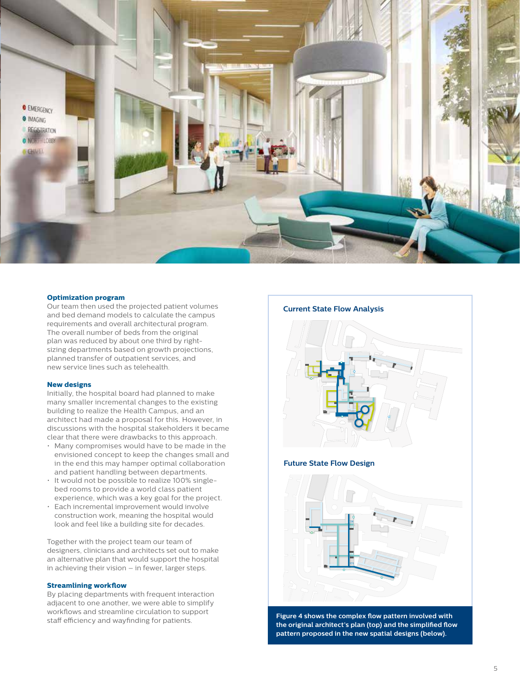

### **Optimization program**

Our team then used the projected patient volumes and bed demand models to calculate the campus requirements and overall architectural program. The overall number of beds from the original plan was reduced by about one third by rightsizing departments based on growth projections, planned transfer of outpatient services, and new service lines such as telehealth.

#### **New designs**

Initially, the hospital board had planned to make many smaller incremental changes to the existing building to realize the Health Campus, and an architect had made a proposal for this. However, in discussions with the hospital stakeholders it became clear that there were drawbacks to this approach.

- in the end this may hamper optimal collaboration **Future State Flow Design** • Many compromises would have to be made in the envisioned concept to keep the changes small and and patient handling between departments.
	- It would not be possible to realize 100% singlebed rooms to provide a world class patient experience, which was a key goal for the project.
	- Each incremental improvement would involve construction work, meaning the hospital would look and feel like a building site for decades.

Together with the project team our team of designers, clinicians and architects set out to make an alternative plan that would support the hospital in achieving their vision – in fewer, larger steps.

#### **Streamlining workflow**

By placing departments with frequent interaction adjacent to one another, we were able to simplify workflows and streamline circulation to support staff efficiency and wayfinding for patients.





**Figure 4 shows the complex flow pattern involved with the original architect's plan (top) and the simplified flow pattern proposed in the new spatial designs (below).**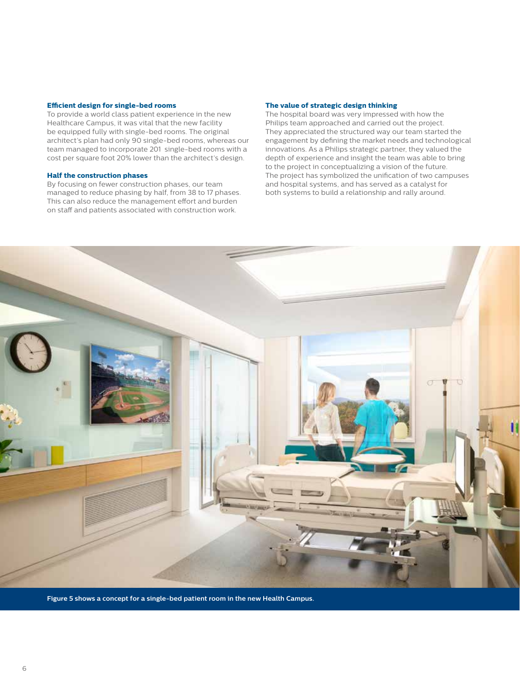#### **Efficient design for single-bed rooms**

To provide a world class patient experience in the new Healthcare Campus, it was vital that the new facility be equipped fully with single-bed rooms. The original architect's plan had only 90 single-bed rooms, whereas our team managed to incorporate 201 single-bed rooms with a cost per square foot 20% lower than the architect's design.

#### **Half the construction phases**

By focusing on fewer construction phases, our team managed to reduce phasing by half, from 38 to 17 phases. This can also reduce the management effort and burden on staff and patients associated with construction work.

#### **The value of strategic design thinking**

The hospital board was very impressed with how the Philips team approached and carried out the project. They appreciated the structured way our team started the engagement by defining the market needs and technological innovations. As a Philips strategic partner, they valued the depth of experience and insight the team was able to bring to the project in conceptualizing a vision of the future. The project has symbolized the unification of two campuses and hospital systems, and has served as a catalyst for both systems to build a relationship and rally around.



**Figure 5 shows a concept for a single-bed patient room in the new Health Campus.**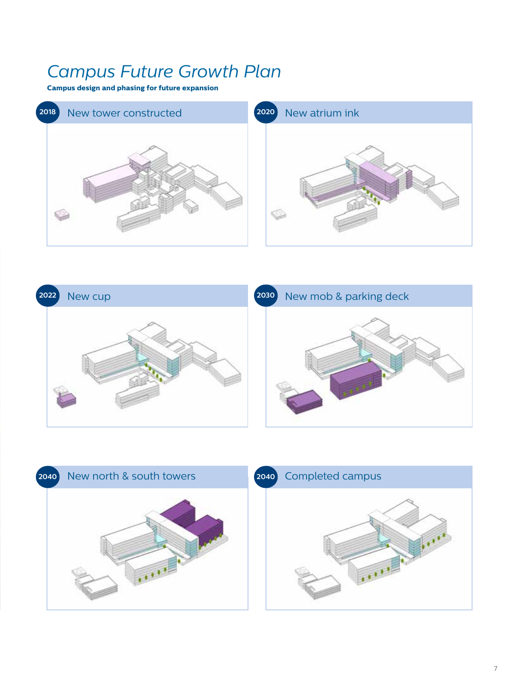# *Campus Future Growth Plan*

**Campus design and phasing for future expansion**